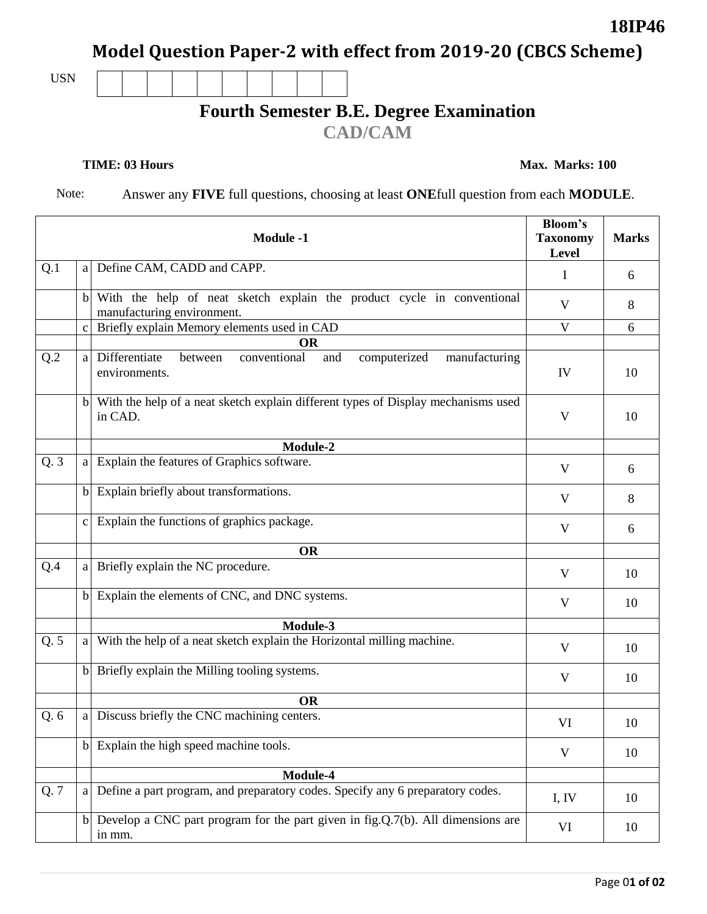**Model Question Paper-2 with effect from 2019-20 (CBCS Scheme)**

USN

## **Fourth Semester B.E. Degree Examination**

**CAD/CAM**

**TIME: 03 Hours Max. Marks: 100** 

**18IP46**

Note: Answer any **FIVE** full questions, choosing at least **ONE**full question from each **MODULE**.

| <b>Module -1</b> |              |                                                                                                      | <b>Bloom's</b><br><b>Taxonomy</b><br>Level | <b>Marks</b> |
|------------------|--------------|------------------------------------------------------------------------------------------------------|--------------------------------------------|--------------|
| Q.1              | a            | Define CAM, CADD and CAPP.                                                                           | Ι.                                         | 6            |
|                  | $\mathbf{b}$ | With the help of neat sketch explain the product cycle in conventional<br>manufacturing environment. | V                                          | 8            |
|                  | $\mathbf c$  | Briefly explain Memory elements used in CAD                                                          | V                                          | 6            |
|                  |              | <b>OR</b>                                                                                            |                                            |              |
| Q.2              | a            | Differentiate<br>conventional<br>computerized<br>and<br>manufacturing<br>between<br>environments.    | IV                                         | 10           |
|                  | $\mathbf{b}$ | With the help of a neat sketch explain different types of Display mechanisms used<br>in CAD.         | $\mathbf{V}$                               | 10           |
|                  |              | Module-2                                                                                             |                                            |              |
| Q.3              | a            | Explain the features of Graphics software.                                                           | V                                          | 6            |
|                  | $\mathbf{b}$ | Explain briefly about transformations.                                                               | V                                          | 8            |
|                  | $\mathbf{c}$ | Explain the functions of graphics package.                                                           | V                                          | 6            |
|                  |              | <b>OR</b>                                                                                            |                                            |              |
| Q.4              | a            | Briefly explain the NC procedure.                                                                    | V                                          | 10           |
|                  |              | b Explain the elements of CNC, and DNC systems.                                                      | V                                          | 10           |
|                  |              | Module-3                                                                                             |                                            |              |
| Q.5              | <sub>a</sub> | With the help of a neat sketch explain the Horizontal milling machine.                               | $\mathbf{V}$                               | 10           |
|                  | $\mathbf{b}$ | Briefly explain the Milling tooling systems.                                                         | $\mathbf{V}$                               | 10           |
|                  |              | <b>OR</b>                                                                                            |                                            |              |
| Q.6              | a            | Discuss briefly the CNC machining centers.                                                           | VI                                         | 10           |
|                  |              | b Explain the high speed machine tools.                                                              | $\mathbf{V}$                               | 10           |
|                  |              | Module-4                                                                                             |                                            |              |
| Q.7              | a            | Define a part program, and preparatory codes. Specify any 6 preparatory codes.                       | I, IV                                      | 10           |
|                  | $\mathbf{b}$ | Develop a CNC part program for the part given in fig.Q.7(b). All dimensions are<br>in mm.            | VI                                         | 10           |